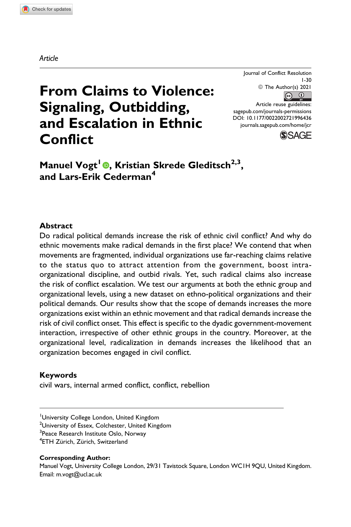Journal of Conflict Resolution 1-30 © The Author(s) 2021  $\circ$   $\circ$ 

Article reuse guidelines: [sagepub.com/journals-permissions](https://sagepub.com/journals-permissions) [DOI: 10.1177/0022002721996436](https://doi.org/10.1177/0022002721996436) [journals.sagepub.com/home/jcr](http://journals.sagepub.com/home/jcr)



# **From Claims to Violence: Signaling, Outbidding, and Escalation in Ethnic Conflict**

**Manuel Vogt<sup>1</sup> , Kristian Skrede Gleditsch2,3, and Lars-Erik Cederman<sup>4</sup>**

#### **Abstract**

Do radical political demands increase the risk of ethnic civil conflict? And why do ethnic movements make radical demands in the first place? We contend that when movements are fragmented, individual organizations use far-reaching claims relative to the status quo to attract attention from the government, boost intraorganizational discipline, and outbid rivals. Yet, such radical claims also increase the risk of conflict escalation. We test our arguments at both the ethnic group and organizational levels, using a new dataset on ethno-political organizations and their political demands. Our results show that the scope of demands increases the more organizations exist within an ethnic movement and that radical demands increase the risk of civil conflict onset. This effect is specific to the dyadic government-movement interaction, irrespective of other ethnic groups in the country. Moreover, at the organizational level, radicalization in demands increases the likelihood that an organization becomes engaged in civil conflict.

#### **Keywords**

civil wars, internal armed conflict, conflict, rebellion

#### **Corresponding Author:**

Manuel Vogt, University College London, 29/31 Tavistock Square, London WC1H 9QU, United Kingdom. Email: [m.vogt@ucl.ac.uk](mailto:m.vogt@ucl.ac.uk)

<sup>&</sup>lt;sup>1</sup>University College London, United Kingdom

<sup>&</sup>lt;sup>2</sup>University of Essex, Colchester, United Kingdom

<sup>&</sup>lt;sup>3</sup>Peace Research Institute Oslo, Norway

<sup>&</sup>lt;sup>4</sup>ETH Zürich, Zürich, Switzerland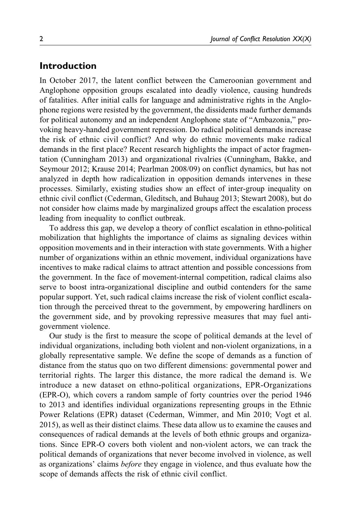## **Introduction**

In October 2017, the latent conflict between the Cameroonian government and Anglophone opposition groups escalated into deadly violence, causing hundreds of fatalities. After initial calls for language and administrative rights in the Anglophone regions were resisted by the government, the dissidents made further demands for political autonomy and an independent Anglophone state of "Ambazonia," provoking heavy-handed government repression. Do radical political demands increase the risk of ethnic civil conflict? And why do ethnic movements make radical demands in the first place? Recent research highlights the impact of actor fragmentation (Cunningham 2013) and organizational rivalries (Cunningham, Bakke, and Seymour 2012; Krause 2014; Pearlman 2008/09) on conflict dynamics, but has not analyzed in depth how radicalization in opposition demands intervenes in these processes. Similarly, existing studies show an effect of inter-group inequality on ethnic civil conflict (Cederman, Gleditsch, and Buhaug 2013; Stewart 2008), but do not consider how claims made by marginalized groups affect the escalation process leading from inequality to conflict outbreak.

To address this gap, we develop a theory of conflict escalation in ethno-political mobilization that highlights the importance of claims as signaling devices within opposition movements and in their interaction with state governments. With a higher number of organizations within an ethnic movement, individual organizations have incentives to make radical claims to attract attention and possible concessions from the government. In the face of movement-internal competition, radical claims also serve to boost intra-organizational discipline and outbid contenders for the same popular support. Yet, such radical claims increase the risk of violent conflict escalation through the perceived threat to the government, by empowering hardliners on the government side, and by provoking repressive measures that may fuel antigovernment violence.

Our study is the first to measure the scope of political demands at the level of individual organizations, including both violent and non-violent organizations, in a globally representative sample. We define the scope of demands as a function of distance from the status quo on two different dimensions: governmental power and territorial rights. The larger this distance, the more radical the demand is. We introduce a new dataset on ethno-political organizations, EPR-Organizations (EPR-O), which covers a random sample of forty countries over the period 1946 to 2013 and identifies individual organizations representing groups in the Ethnic Power Relations (EPR) dataset (Cederman, Wimmer, and Min 2010; Vogt et al. 2015), as well as their distinct claims. These data allow us to examine the causes and consequences of radical demands at the levels of both ethnic groups and organizations. Since EPR-O covers both violent and non-violent actors, we can track the political demands of organizations that never become involved in violence, as well as organizations' claims *before* they engage in violence, and thus evaluate how the scope of demands affects the risk of ethnic civil conflict.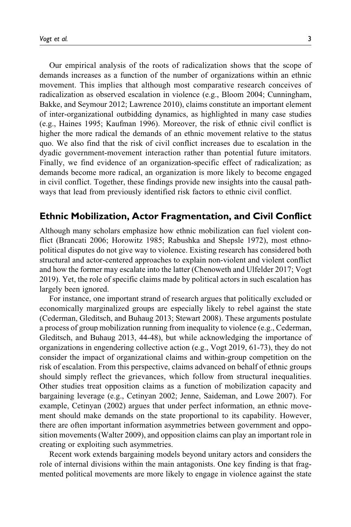Our empirical analysis of the roots of radicalization shows that the scope of demands increases as a function of the number of organizations within an ethnic movement. This implies that although most comparative research conceives of radicalization as observed escalation in violence (e.g., Bloom 2004; Cunningham, Bakke, and Seymour 2012; Lawrence 2010), claims constitute an important element of inter-organizational outbidding dynamics, as highlighted in many case studies (e.g., Haines 1995; Kaufman 1996). Moreover, the risk of ethnic civil conflict is higher the more radical the demands of an ethnic movement relative to the status quo. We also find that the risk of civil conflict increases due to escalation in the dyadic government-movement interaction rather than potential future imitators. Finally, we find evidence of an organization-specific effect of radicalization; as demands become more radical, an organization is more likely to become engaged in civil conflict. Together, these findings provide new insights into the causal pathways that lead from previously identified risk factors to ethnic civil conflict.

## **Ethnic Mobilization, Actor Fragmentation, and Civil Conflict**

Although many scholars emphasize how ethnic mobilization can fuel violent conflict (Brancati 2006; Horowitz 1985; Rabushka and Shepsle 1972), most ethnopolitical disputes do not give way to violence. Existing research has considered both structural and actor-centered approaches to explain non-violent and violent conflict and how the former may escalate into the latter (Chenoweth and Ulfelder 2017; Vogt 2019). Yet, the role of specific claims made by political actors in such escalation has largely been ignored.

For instance, one important strand of research argues that politically excluded or economically marginalized groups are especially likely to rebel against the state (Cederman, Gleditsch, and Buhaug 2013; Stewart 2008). These arguments postulate a process of group mobilization running from inequality to violence (e.g., Cederman, Gleditsch, and Buhaug 2013, 44-48), but while acknowledging the importance of organizations in engendering collective action (e.g., Vogt 2019, 61-73), they do not consider the impact of organizational claims and within-group competition on the risk of escalation. From this perspective, claims advanced on behalf of ethnic groups should simply reflect the grievances, which follow from structural inequalities. Other studies treat opposition claims as a function of mobilization capacity and bargaining leverage (e.g., Cetinyan 2002; Jenne, Saideman, and Lowe 2007). For example, Cetinyan (2002) argues that under perfect information, an ethnic movement should make demands on the state proportional to its capability. However, there are often important information asymmetries between government and opposition movements (Walter 2009), and opposition claims can play an important role in creating or exploiting such asymmetries.

Recent work extends bargaining models beyond unitary actors and considers the role of internal divisions within the main antagonists. One key finding is that fragmented political movements are more likely to engage in violence against the state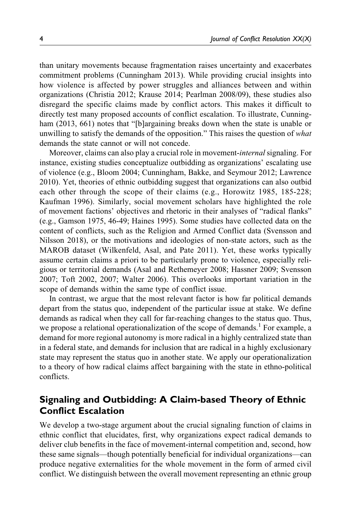than unitary movements because fragmentation raises uncertainty and exacerbates commitment problems (Cunningham 2013). While providing crucial insights into how violence is affected by power struggles and alliances between and within organizations (Christia 2012; Krause 2014; Pearlman 2008/09), these studies also disregard the specific claims made by conflict actors. This makes it difficult to directly test many proposed accounts of conflict escalation. To illustrate, Cunningham (2013, 661) notes that "[b]argaining breaks down when the state is unable or unwilling to satisfy the demands of the opposition." This raises the question of what demands the state cannot or will not concede.

Moreover, claims can also play a crucial role in movement-internal signaling. For instance, existing studies conceptualize outbidding as organizations' escalating use of violence (e.g., Bloom 2004; Cunningham, Bakke, and Seymour 2012; Lawrence 2010). Yet, theories of ethnic outbidding suggest that organizations can also outbid each other through the scope of their claims (e.g., Horowitz 1985, 185-228; Kaufman 1996). Similarly, social movement scholars have highlighted the role of movement factions' objectives and rhetoric in their analyses of "radical flanks" (e.g., Gamson 1975, 46-49; Haines 1995). Some studies have collected data on the content of conflicts, such as the Religion and Armed Conflict data (Svensson and Nilsson 2018), or the motivations and ideologies of non-state actors, such as the MAROB dataset (Wilkenfeld, Asal, and Pate 2011). Yet, these works typically assume certain claims a priori to be particularly prone to violence, especially religious or territorial demands (Asal and Rethemeyer 2008; Hassner 2009; Svensson 2007; Toft 2002, 2007; Walter 2006). This overlooks important variation in the scope of demands within the same type of conflict issue.

In contrast, we argue that the most relevant factor is how far political demands depart from the status quo, independent of the particular issue at stake. We define demands as radical when they call for far-reaching changes to the status quo. Thus, we propose a relational operationalization of the scope of demands.<sup>1</sup> For example, a demand for more regional autonomy is more radical in a highly centralized state than in a federal state, and demands for inclusion that are radical in a highly exclusionary state may represent the status quo in another state. We apply our operationalization to a theory of how radical claims affect bargaining with the state in ethno-political conflicts.

# **Signaling and Outbidding: A Claim-based Theory of Ethnic Conflict Escalation**

We develop a two-stage argument about the crucial signaling function of claims in ethnic conflict that elucidates, first, why organizations expect radical demands to deliver club benefits in the face of movement-internal competition and, second, how these same signals—though potentially beneficial for individual organizations—can produce negative externalities for the whole movement in the form of armed civil conflict. We distinguish between the overall movement representing an ethnic group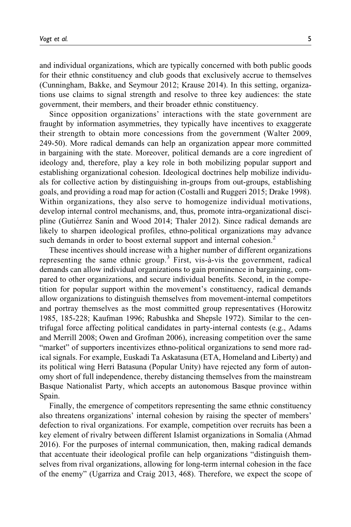and individual organizations, which are typically concerned with both public goods for their ethnic constituency and club goods that exclusively accrue to themselves (Cunningham, Bakke, and Seymour 2012; Krause 2014). In this setting, organizations use claims to signal strength and resolve to three key audiences: the state government, their members, and their broader ethnic constituency.

Since opposition organizations' interactions with the state government are fraught by information asymmetries, they typically have incentives to exaggerate their strength to obtain more concessions from the government (Walter 2009, 249-50). More radical demands can help an organization appear more committed in bargaining with the state. Moreover, political demands are a core ingredient of ideology and, therefore, play a key role in both mobilizing popular support and establishing organizational cohesion. Ideological doctrines help mobilize individuals for collective action by distinguishing in-groups from out-groups, establishing goals, and providing a road map for action (Costalli and Ruggeri 2015; Drake 1998). Within organizations, they also serve to homogenize individual motivations, develop internal control mechanisms, and, thus, promote intra-organizational discipline (Gutiérrez Sanín and Wood 2014; Thaler 2012). Since radical demands are likely to sharpen ideological profiles, ethno-political organizations may advance such demands in order to boost external support and internal cohesion.<sup>2</sup>

These incentives should increase with a higher number of different organizations representing the same ethnic group.<sup>3</sup> First, vis- $\dot{a}$ -vis the government, radical demands can allow individual organizations to gain prominence in bargaining, compared to other organizations, and secure individual benefits. Second, in the competition for popular support within the movement's constituency, radical demands allow organizations to distinguish themselves from movement-internal competitors and portray themselves as the most committed group representatives (Horowitz 1985, 185-228; Kaufman 1996; Rabushka and Shepsle 1972). Similar to the centrifugal force affecting political candidates in party-internal contests (e.g., Adams and Merrill 2008; Owen and Grofman 2006), increasing competition over the same "market" of supporters incentivizes ethno-political organizations to send more radical signals. For example, Euskadi Ta Askatasuna (ETA, Homeland and Liberty) and its political wing Herri Batasuna (Popular Unity) have rejected any form of autonomy short of full independence, thereby distancing themselves from the mainstream Basque Nationalist Party, which accepts an autonomous Basque province within Spain.

Finally, the emergence of competitors representing the same ethnic constituency also threatens organizations' internal cohesion by raising the specter of members' defection to rival organizations. For example, competition over recruits has been a key element of rivalry between different Islamist organizations in Somalia (Ahmad 2016). For the purposes of internal communication, then, making radical demands that accentuate their ideological profile can help organizations "distinguish themselves from rival organizations, allowing for long-term internal cohesion in the face of the enemy" (Ugarriza and Craig 2013, 468). Therefore, we expect the scope of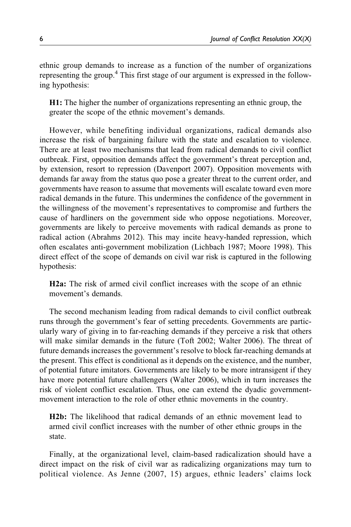ethnic group demands to increase as a function of the number of organizations representing the group.<sup>4</sup> This first stage of our argument is expressed in the following hypothesis:

H1: The higher the number of organizations representing an ethnic group, the greater the scope of the ethnic movement's demands.

However, while benefiting individual organizations, radical demands also increase the risk of bargaining failure with the state and escalation to violence. There are at least two mechanisms that lead from radical demands to civil conflict outbreak. First, opposition demands affect the government's threat perception and, by extension, resort to repression (Davenport 2007). Opposition movements with demands far away from the status quo pose a greater threat to the current order, and governments have reason to assume that movements will escalate toward even more radical demands in the future. This undermines the confidence of the government in the willingness of the movement's representatives to compromise and furthers the cause of hardliners on the government side who oppose negotiations. Moreover, governments are likely to perceive movements with radical demands as prone to radical action (Abrahms 2012). This may incite heavy-handed repression, which often escalates anti-government mobilization (Lichbach 1987; Moore 1998). This direct effect of the scope of demands on civil war risk is captured in the following hypothesis:

H2a: The risk of armed civil conflict increases with the scope of an ethnic movement's demands.

The second mechanism leading from radical demands to civil conflict outbreak runs through the government's fear of setting precedents. Governments are particularly wary of giving in to far-reaching demands if they perceive a risk that others will make similar demands in the future (Toft 2002; Walter 2006). The threat of future demands increases the government's resolve to block far-reaching demands at the present. This effect is conditional as it depends on the existence, and the number, of potential future imitators. Governments are likely to be more intransigent if they have more potential future challengers (Walter 2006), which in turn increases the risk of violent conflict escalation. Thus, one can extend the dyadic governmentmovement interaction to the role of other ethnic movements in the country.

H2b: The likelihood that radical demands of an ethnic movement lead to armed civil conflict increases with the number of other ethnic groups in the state.

Finally, at the organizational level, claim-based radicalization should have a direct impact on the risk of civil war as radicalizing organizations may turn to political violence. As Jenne (2007, 15) argues, ethnic leaders' claims lock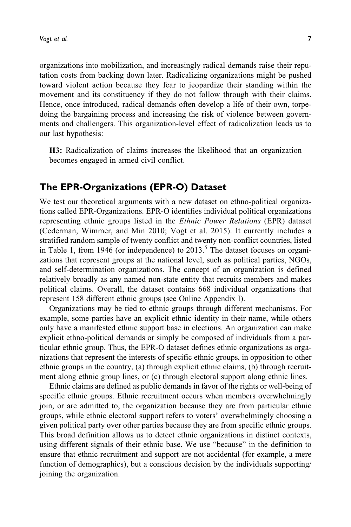organizations into mobilization, and increasingly radical demands raise their reputation costs from backing down later. Radicalizing organizations might be pushed toward violent action because they fear to jeopardize their standing within the movement and its constituency if they do not follow through with their claims. Hence, once introduced, radical demands often develop a life of their own, torpedoing the bargaining process and increasing the risk of violence between governments and challengers. This organization-level effect of radicalization leads us to our last hypothesis:

H3: Radicalization of claims increases the likelihood that an organization becomes engaged in armed civil conflict.

## **The EPR-Organizations (EPR-O) Dataset**

We test our theoretical arguments with a new dataset on ethno-political organizations called EPR-Organizations. EPR-O identifies individual political organizations representing ethnic groups listed in the Ethnic Power Relations (EPR) dataset (Cederman, Wimmer, and Min 2010; Vogt et al. 2015). It currently includes a stratified random sample of twenty conflict and twenty non-conflict countries, listed in Table 1, from 1946 (or independence) to  $2013<sup>5</sup>$ . The dataset focuses on organizations that represent groups at the national level, such as political parties, NGOs, and self-determination organizations. The concept of an organization is defined relatively broadly as any named non-state entity that recruits members and makes political claims. Overall, the dataset contains 668 individual organizations that represent 158 different ethnic groups (see Online Appendix I).

Organizations may be tied to ethnic groups through different mechanisms. For example, some parties have an explicit ethnic identity in their name, while others only have a manifested ethnic support base in elections. An organization can make explicit ethno-political demands or simply be composed of individuals from a particular ethnic group. Thus, the EPR-O dataset defines ethnic organizations as organizations that represent the interests of specific ethnic groups, in opposition to other ethnic groups in the country, (a) through explicit ethnic claims, (b) through recruitment along ethnic group lines, or (c) through electoral support along ethnic lines.

Ethnic claims are defined as public demands in favor of the rights or well-being of specific ethnic groups. Ethnic recruitment occurs when members overwhelmingly join, or are admitted to, the organization because they are from particular ethnic groups, while ethnic electoral support refers to voters' overwhelmingly choosing a given political party over other parties because they are from specific ethnic groups. This broad definition allows us to detect ethnic organizations in distinct contexts, using different signals of their ethnic base. We use "because" in the definition to ensure that ethnic recruitment and support are not accidental (for example, a mere function of demographics), but a conscious decision by the individuals supporting/ joining the organization.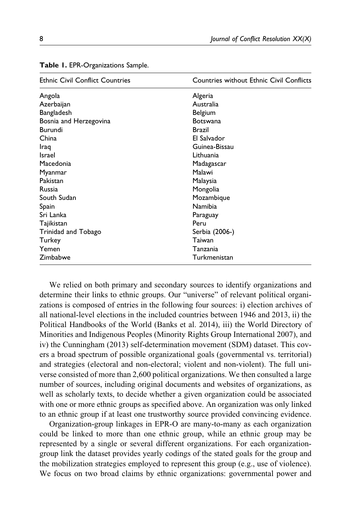| <b>Ethnic Civil Conflict Countries</b> | Countries without Ethnic Civil Conflicts |
|----------------------------------------|------------------------------------------|
| Angola                                 | Algeria                                  |
| Azerbaijan                             | Australia                                |
| Bangladesh                             | Belgium                                  |
| Bosnia and Herzegovina                 | <b>Botswana</b>                          |
| Burundi                                | Brazil                                   |
| China                                  | El Salvador                              |
| Iraq                                   | Guinea-Bissau                            |
| <b>Israel</b>                          | Lithuania                                |
| Macedonia                              | Madagascar                               |
| Myanmar                                | Malawi                                   |
| Pakistan                               | Malaysia                                 |
| <b>Russia</b>                          | Mongolia                                 |
| South Sudan                            | Mozambique                               |
| Spain                                  | Namibia                                  |
| Sri Lanka                              | Paraguay                                 |
| Tajikistan                             | Peru                                     |
| Trinidad and Tobago                    | Serbia (2006-)                           |
| Turkey                                 | Taiwan                                   |
| Yemen                                  | Tanzania                                 |
| Zimbabwe                               | Turkmenistan                             |

**Table 1.** EPR-Organizations Sample.

We relied on both primary and secondary sources to identify organizations and determine their links to ethnic groups. Our "universe" of relevant political organizations is composed of entries in the following four sources: i) election archives of all national-level elections in the included countries between 1946 and 2013, ii) the Political Handbooks of the World (Banks et al. 2014), iii) the World Directory of Minorities and Indigenous Peoples (Minority Rights Group International 2007), and iv) the Cunningham (2013) self-determination movement (SDM) dataset. This covers a broad spectrum of possible organizational goals (governmental vs. territorial) and strategies (electoral and non-electoral; violent and non-violent). The full universe consisted of more than 2,600 political organizations. We then consulted a large number of sources, including original documents and websites of organizations, as well as scholarly texts, to decide whether a given organization could be associated with one or more ethnic groups as specified above. An organization was only linked to an ethnic group if at least one trustworthy source provided convincing evidence.

Organization-group linkages in EPR-O are many-to-many as each organization could be linked to more than one ethnic group, while an ethnic group may be represented by a single or several different organizations. For each organizationgroup link the dataset provides yearly codings of the stated goals for the group and the mobilization strategies employed to represent this group (e.g., use of violence). We focus on two broad claims by ethnic organizations: governmental power and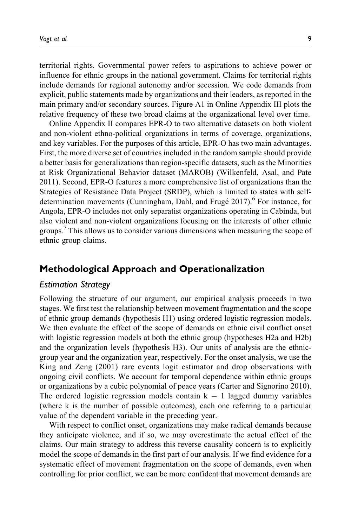territorial rights. Governmental power refers to aspirations to achieve power or influence for ethnic groups in the national government. Claims for territorial rights include demands for regional autonomy and/or secession. We code demands from explicit, public statements made by organizations and their leaders, as reported in the main primary and/or secondary sources. Figure A1 in Online Appendix III plots the relative frequency of these two broad claims at the organizational level over time.

Online Appendix II compares EPR-O to two alternative datasets on both violent and non-violent ethno-political organizations in terms of coverage, organizations, and key variables. For the purposes of this article, EPR-O has two main advantages. First, the more diverse set of countries included in the random sample should provide a better basis for generalizations than region-specific datasets, such as the Minorities at Risk Organizational Behavior dataset (MAROB) (Wilkenfeld, Asal, and Pate 2011). Second, EPR-O features a more comprehensive list of organizations than the Strategies of Resistance Data Project (SRDP), which is limited to states with selfdetermination movements (Cunningham, Dahl, and Frugé 2017).<sup>6</sup> For instance, for Angola, EPR-O includes not only separatist organizations operating in Cabinda, but also violent and non-violent organizations focusing on the interests of other ethnic groups.<sup>7</sup> This allows us to consider various dimensions when measuring the scope of ethnic group claims.

## **Methodological Approach and Operationalization**

#### *Estimation Strategy*

Following the structure of our argument, our empirical analysis proceeds in two stages. We first test the relationship between movement fragmentation and the scope of ethnic group demands (hypothesis H1) using ordered logistic regression models. We then evaluate the effect of the scope of demands on ethnic civil conflict onset with logistic regression models at both the ethnic group (hypotheses H2a and H2b) and the organization levels (hypothesis H3). Our units of analysis are the ethnicgroup year and the organization year, respectively. For the onset analysis, we use the King and Zeng (2001) rare events logit estimator and drop observations with ongoing civil conflicts. We account for temporal dependence within ethnic groups or organizations by a cubic polynomial of peace years (Carter and Signorino 2010). The ordered logistic regression models contain  $k - 1$  lagged dummy variables (where k is the number of possible outcomes), each one referring to a particular value of the dependent variable in the preceding year.

With respect to conflict onset, organizations may make radical demands because they anticipate violence, and if so, we may overestimate the actual effect of the claims. Our main strategy to address this reverse causality concern is to explicitly model the scope of demands in the first part of our analysis. If we find evidence for a systematic effect of movement fragmentation on the scope of demands, even when controlling for prior conflict, we can be more confident that movement demands are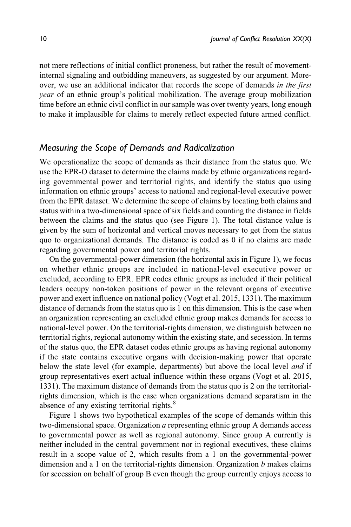not mere reflections of initial conflict proneness, but rather the result of movementinternal signaling and outbidding maneuvers, as suggested by our argument. Moreover, we use an additional indicator that records the scope of demands in the first year of an ethnic group's political mobilization. The average group mobilization time before an ethnic civil conflict in our sample was over twenty years, long enough to make it implausible for claims to merely reflect expected future armed conflict.

## *Measuring the Scope of Demands and Radicalization*

We operationalize the scope of demands as their distance from the status quo. We use the EPR-O dataset to determine the claims made by ethnic organizations regarding governmental power and territorial rights, and identify the status quo using information on ethnic groups' access to national and regional-level executive power from the EPR dataset. We determine the scope of claims by locating both claims and status within a two-dimensional space of six fields and counting the distance in fields between the claims and the status quo (see Figure 1). The total distance value is given by the sum of horizontal and vertical moves necessary to get from the status quo to organizational demands. The distance is coded as 0 if no claims are made regarding governmental power and territorial rights.

On the governmental-power dimension (the horizontal axis in Figure 1), we focus on whether ethnic groups are included in national-level executive power or excluded, according to EPR. EPR codes ethnic groups as included if their political leaders occupy non-token positions of power in the relevant organs of executive power and exert influence on national policy (Vogt et al. 2015, 1331). The maximum distance of demands from the status quo is 1 on this dimension. This is the case when an organization representing an excluded ethnic group makes demands for access to national-level power. On the territorial-rights dimension, we distinguish between no territorial rights, regional autonomy within the existing state, and secession. In terms of the status quo, the EPR dataset codes ethnic groups as having regional autonomy if the state contains executive organs with decision-making power that operate below the state level (for example, departments) but above the local level *and* if group representatives exert actual influence within these organs (Vogt et al. 2015, 1331). The maximum distance of demands from the status quo is 2 on the territorialrights dimension, which is the case when organizations demand separatism in the absence of any existing territorial rights.<sup>8</sup>

Figure 1 shows two hypothetical examples of the scope of demands within this two-dimensional space. Organization a representing ethnic group A demands access to governmental power as well as regional autonomy. Since group A currently is neither included in the central government nor in regional executives, these claims result in a scope value of 2, which results from a 1 on the governmental-power dimension and a 1 on the territorial-rights dimension. Organization  $b$  makes claims for secession on behalf of group B even though the group currently enjoys access to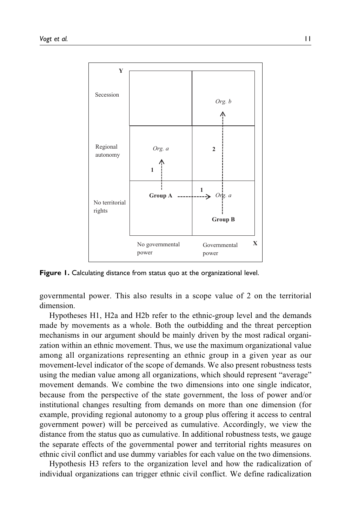

**Figure 1.** Calculating distance from status quo at the organizational level.

governmental power. This also results in a scope value of 2 on the territorial dimension.

Hypotheses H1, H2a and H2b refer to the ethnic-group level and the demands made by movements as a whole. Both the outbidding and the threat perception mechanisms in our argument should be mainly driven by the most radical organization within an ethnic movement. Thus, we use the maximum organizational value among all organizations representing an ethnic group in a given year as our movement-level indicator of the scope of demands. We also present robustness tests using the median value among all organizations, which should represent "average" movement demands. We combine the two dimensions into one single indicator, because from the perspective of the state government, the loss of power and/or institutional changes resulting from demands on more than one dimension (for example, providing regional autonomy to a group plus offering it access to central government power) will be perceived as cumulative. Accordingly, we view the distance from the status quo as cumulative. In additional robustness tests, we gauge the separate effects of the governmental power and territorial rights measures on ethnic civil conflict and use dummy variables for each value on the two dimensions.

Hypothesis H3 refers to the organization level and how the radicalization of individual organizations can trigger ethnic civil conflict. We define radicalization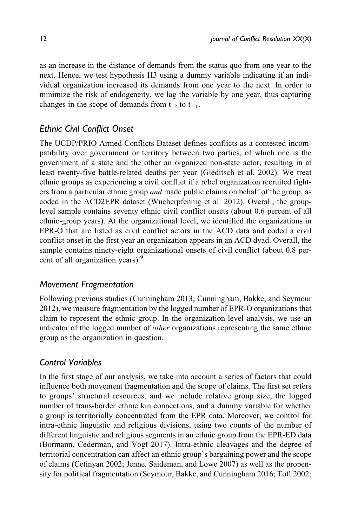as an increase in the distance of demands from the status quo from one year to the next. Hence, we test hypothesis H3 using a dummy variable indicating if an individual organization increased its demands from one year to the next. In order to minimize the risk of endogeneity, we lag the variable by one year, thus capturing changes in the scope of demands from  $t_{-2}$  to  $t_{-1}$ .

## *Ethnic Civil Conflict Onset*

The UCDP/PRIO Armed Conflicts Dataset defines conflicts as a contested incompatibility over government or territory between two parties, of which one is the government of a state and the other an organized non-state actor, resulting in at least twenty-five battle-related deaths per year (Gleditsch et al. 2002). We treat ethnic groups as experiencing a civil conflict if a rebel organization recruited fighters from a particular ethnic group *and* made public claims on behalf of the group, as coded in the ACD2EPR dataset (Wucherpfennig et al. 2012). Overall, the grouplevel sample contains seventy ethnic civil conflict onsets (about 0.6 percent of all ethnic-group years). At the organizational level, we identified the organizations in EPR-O that are listed as civil conflict actors in the ACD data and coded a civil conflict onset in the first year an organization appears in an ACD dyad. Overall, the sample contains ninety-eight organizational onsets of civil conflict (about 0.8 percent of all organization years).<sup>9</sup>

## *Movement Fragmentation*

Following previous studies (Cunningham 2013; Cunningham, Bakke, and Seymour 2012), we measure fragmentation by the logged number of EPR-O organizations that claim to represent the ethnic group. In the organization-level analysis, we use an indicator of the logged number of *other* organizations representing the same ethnic group as the organization in question.

## *Control Variables*

In the first stage of our analysis, we take into account a series of factors that could influence both movement fragmentation and the scope of claims. The first set refers to groups' structural resources, and we include relative group size, the logged number of trans-border ethnic kin connections, and a dummy variable for whether a group is territorially concentrated from the EPR data. Moreover, we control for intra-ethnic linguistic and religious divisions, using two counts of the number of different linguistic and religious segments in an ethnic group from the EPR-ED data (Bormann, Cederman, and Vogt 2017). Intra-ethnic cleavages and the degree of territorial concentration can affect an ethnic group's bargaining power and the scope of claims (Cetinyan 2002; Jenne, Saideman, and Lowe 2007) as well as the propensity for political fragmentation (Seymour, Bakke, and Cunningham 2016; Toft 2002;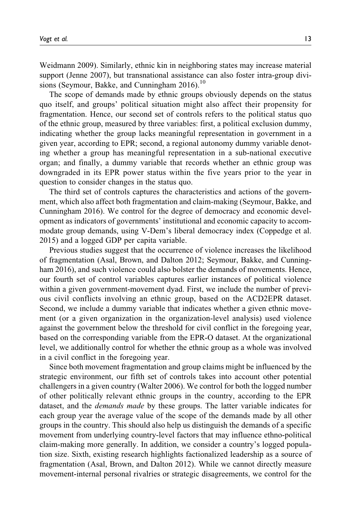Weidmann 2009). Similarly, ethnic kin in neighboring states may increase material support (Jenne 2007), but transnational assistance can also foster intra-group divisions (Seymour, Bakke, and Cunningham  $2016$ ).<sup>10</sup>

The scope of demands made by ethnic groups obviously depends on the status quo itself, and groups' political situation might also affect their propensity for fragmentation. Hence, our second set of controls refers to the political status quo of the ethnic group, measured by three variables: first, a political exclusion dummy, indicating whether the group lacks meaningful representation in government in a given year, according to EPR; second, a regional autonomy dummy variable denoting whether a group has meaningful representation in a sub-national executive organ; and finally, a dummy variable that records whether an ethnic group was downgraded in its EPR power status within the five years prior to the year in question to consider changes in the status quo.

The third set of controls captures the characteristics and actions of the government, which also affect both fragmentation and claim-making (Seymour, Bakke, and Cunningham 2016). We control for the degree of democracy and economic development as indicators of governments' institutional and economic capacity to accommodate group demands, using V-Dem's liberal democracy index (Coppedge et al. 2015) and a logged GDP per capita variable.

Previous studies suggest that the occurrence of violence increases the likelihood of fragmentation (Asal, Brown, and Dalton 2012; Seymour, Bakke, and Cunningham 2016), and such violence could also bolster the demands of movements. Hence, our fourth set of control variables captures earlier instances of political violence within a given government-movement dyad. First, we include the number of previous civil conflicts involving an ethnic group, based on the ACD2EPR dataset. Second, we include a dummy variable that indicates whether a given ethnic movement (or a given organization in the organization-level analysis) used violence against the government below the threshold for civil conflict in the foregoing year, based on the corresponding variable from the EPR-O dataset. At the organizational level, we additionally control for whether the ethnic group as a whole was involved in a civil conflict in the foregoing year.

Since both movement fragmentation and group claims might be influenced by the strategic environment, our fifth set of controls takes into account other potential challengers in a given country (Walter 2006). We control for both the logged number of other politically relevant ethnic groups in the country, according to the EPR dataset, and the *demands made* by these groups. The latter variable indicates for each group year the average value of the scope of the demands made by all other groups in the country. This should also help us distinguish the demands of a specific movement from underlying country-level factors that may influence ethno-political claim-making more generally. In addition, we consider a country's logged population size. Sixth, existing research highlights factionalized leadership as a source of fragmentation (Asal, Brown, and Dalton 2012). While we cannot directly measure movement-internal personal rivalries or strategic disagreements, we control for the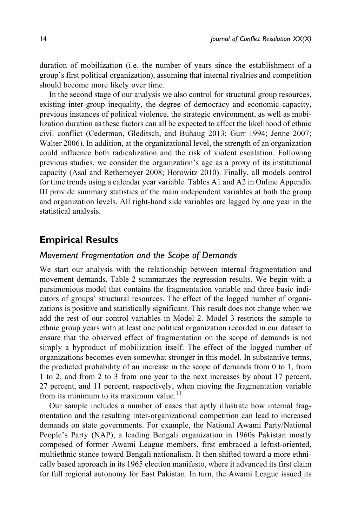duration of mobilization (i.e. the number of years since the establishment of a group's first political organization), assuming that internal rivalries and competition should become more likely over time.

In the second stage of our analysis we also control for structural group resources, existing inter-group inequality, the degree of democracy and economic capacity, previous instances of political violence, the strategic environment, as well as mobilization duration as these factors can all be expected to affect the likelihood of ethnic civil conflict (Cederman, Gleditsch, and Buhaug 2013; Gurr 1994; Jenne 2007; Walter 2006). In addition, at the organizational level, the strength of an organization could influence both radicalization and the risk of violent escalation. Following previous studies, we consider the organization's age as a proxy of its institutional capacity (Asal and Rethemeyer 2008; Horowitz 2010). Finally, all models control for time trends using a calendar year variable. Tables A1 and A2 in Online Appendix III provide summary statistics of the main independent variables at both the group and organization levels. All right-hand side variables are lagged by one year in the statistical analysis.

## **Empirical Results**

## *Movement Fragmentation and the Scope of Demands*

We start our analysis with the relationship between internal fragmentation and movement demands. Table 2 summarizes the regression results. We begin with a parsimonious model that contains the fragmentation variable and three basic indicators of groups' structural resources. The effect of the logged number of organizations is positive and statistically significant. This result does not change when we add the rest of our control variables in Model 2. Model 3 restricts the sample to ethnic group years with at least one political organization recorded in our dataset to ensure that the observed effect of fragmentation on the scope of demands is not simply a byproduct of mobilization itself. The effect of the logged number of organizations becomes even somewhat stronger in this model. In substantive terms, the predicted probability of an increase in the scope of demands from 0 to 1, from 1 to 2, and from 2 to 3 from one year to the next increases by about 17 percent, 27 percent, and 11 percent, respectively, when moving the fragmentation variable from its minimum to its maximum value.<sup>11</sup>

Our sample includes a number of cases that aptly illustrate how internal fragmentation and the resulting inter-organizational competition can lead to increased demands on state governments. For example, the National Awami Party/National People's Party (NAP), a leading Bengali organization in 1960s Pakistan mostly composed of former Awami League members, first embraced a leftist-oriented, multiethnic stance toward Bengali nationalism. It then shifted toward a more ethnically based approach in its 1965 election manifesto, where it advanced its first claim for full regional autonomy for East Pakistan. In turn, the Awami League issued its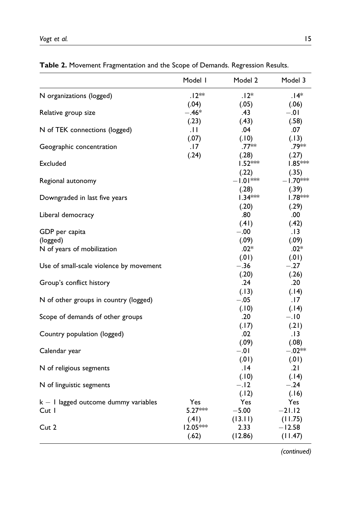|                                                 | Model I    | Model 2              | Model 3             |
|-------------------------------------------------|------------|----------------------|---------------------|
| N organizations (logged)                        | $.12**$    | $.12*$               | .14*                |
|                                                 | (.04)      | (.05)                | (.06)               |
| Relative group size                             | $-.46*$    | .43                  | $-.01$              |
|                                                 | (.23)      | (.43)                | (.58)               |
| N of TEK connections (logged)                   | .H         | .04                  | .07                 |
|                                                 | (.07)      | (.10)                | (.13)               |
| Geographic concentration                        | .17        | $.77**$              | .79**               |
|                                                 | (.24)      | (.28)                | (.27)               |
| Excluded                                        |            | l.52 <sup>∗</sup> ** | $1.85***$           |
|                                                 |            | (.22)                | (.35)               |
| Regional autonomy                               |            | $-1.01***$           | –1.70***            |
|                                                 |            | (.28)                | (.39)               |
| Downgraded in last five years                   |            | $1.34***$            | Ⅰ.78 <sup>***</sup> |
|                                                 |            | (.20)                | (.29)               |
| Liberal democracy                               |            | .80                  | .00                 |
|                                                 |            | (.41)                | (.42)               |
| GDP per capita                                  |            | $-.00$               | . 13                |
| (logged)                                        |            | (.09)                | (.09)               |
| N of years of mobilization                      |            | $.02*$               | $.02*$              |
|                                                 |            | (.01)                | (.01)               |
| Use of small-scale violence by movement         |            | $-.36$               | $-.27$              |
|                                                 |            | (.20)                | (.26)               |
| Group's conflict history                        |            | .24                  | .20                 |
|                                                 |            | (.13)                | (.14)               |
| N of other groups in country (logged)           |            | $-.05$               | .17                 |
|                                                 |            | (.10)                | (.14)               |
| Scope of demands of other groups                |            | .20                  | $-.10$              |
|                                                 |            | (.17)                | (.21)               |
| Country population (logged)                     |            | .02                  | . 13                |
|                                                 |            | (.09)                | (.08)               |
| Calendar year                                   |            | $-.01$               | $-.02**$            |
|                                                 |            | (.01)                | (.01)<br>.21        |
| N of religious segments                         |            | 14.                  |                     |
|                                                 |            | (.10)<br>$-.12$      | (.14)<br>$-.24$     |
| N of linguistic segments                        |            |                      |                     |
|                                                 | Yes        | (.12)<br>Yes         | (.16)<br>Yes        |
| $k - 1$ lagged outcome dummy variables<br>Cut I | $5.27***$  | $-5.00$              | $-21.12$            |
|                                                 | (.41)      | (13.11)              | (11.75)             |
| Cut 2                                           | $12.05***$ | 2.33                 | $-12.58$            |
|                                                 | (.62)      | (12.86)              | (11.47)             |
|                                                 |            |                      |                     |

**Table 2.** Movement Fragmentation and the Scope of Demands. Regression Results.

*(continued)*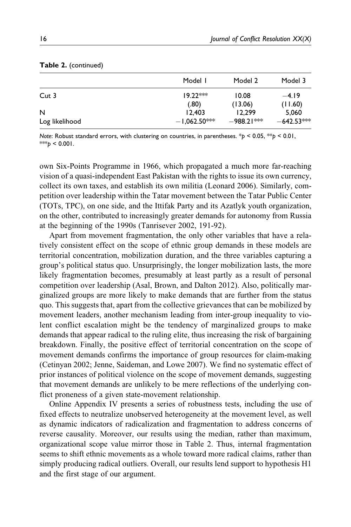|                | Model I        | Model 2    | Model 3      |
|----------------|----------------|------------|--------------|
| Cut 3          | $19.22***$     | 10.08      | $-4.19$      |
|                | (.80)          | (13.06)    | (11.60)      |
| N              | 12.403         | 12.299     | 5.060        |
| Log likelihood | $-1,062.50***$ | –988.21*** | $-642.53***$ |

#### **Table 2.** (continued)

*Note*: Robust standard errors, with clustering on countries, in parentheses. \**p* < 0.05, \*\**p* < 0.01,  $***<sub>b</sub>$  < 0.001.

own Six-Points Programme in 1966, which propagated a much more far-reaching vision of a quasi-independent East Pakistan with the rights to issue its own currency, collect its own taxes, and establish its own militia (Leonard 2006). Similarly, competition over leadership within the Tatar movement between the Tatar Public Center (TOTs, TPC), on one side, and the Ittifak Party and its Azatlyk youth organization, on the other, contributed to increasingly greater demands for autonomy from Russia at the beginning of the 1990s (Tanrisever 2002, 191-92).

Apart from movement fragmentation, the only other variables that have a relatively consistent effect on the scope of ethnic group demands in these models are territorial concentration, mobilization duration, and the three variables capturing a group's political status quo. Unsurprisingly, the longer mobilization lasts, the more likely fragmentation becomes, presumably at least partly as a result of personal competition over leadership (Asal, Brown, and Dalton 2012). Also, politically marginalized groups are more likely to make demands that are further from the status quo. This suggests that, apart from the collective grievances that can be mobilized by movement leaders, another mechanism leading from inter-group inequality to violent conflict escalation might be the tendency of marginalized groups to make demands that appear radical to the ruling elite, thus increasing the risk of bargaining breakdown. Finally, the positive effect of territorial concentration on the scope of movement demands confirms the importance of group resources for claim-making (Cetinyan 2002; Jenne, Saideman, and Lowe 2007). We find no systematic effect of prior instances of political violence on the scope of movement demands, suggesting that movement demands are unlikely to be mere reflections of the underlying conflict proneness of a given state-movement relationship.

Online Appendix IV presents a series of robustness tests, including the use of fixed effects to neutralize unobserved heterogeneity at the movement level, as well as dynamic indicators of radicalization and fragmentation to address concerns of reverse causality. Moreover, our results using the median, rather than maximum, organizational scope value mirror those in Table 2. Thus, internal fragmentation seems to shift ethnic movements as a whole toward more radical claims, rather than simply producing radical outliers. Overall, our results lend support to hypothesis H1 and the first stage of our argument.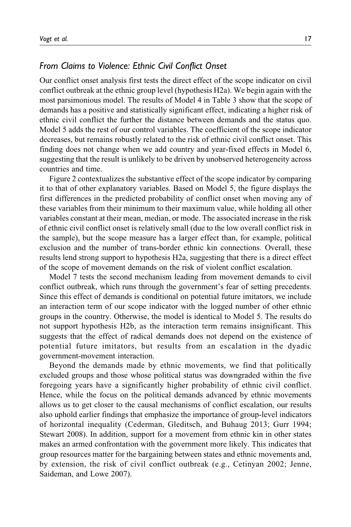## *From Claims to Violence: Ethnic Civil Conflict Onset*

Our conflict onset analysis first tests the direct effect of the scope indicator on civil conflict outbreak at the ethnic group level (hypothesis H2a). We begin again with the most parsimonious model. The results of Model 4 in Table 3 show that the scope of demands has a positive and statistically significant effect, indicating a higher risk of ethnic civil conflict the further the distance between demands and the status quo. Model 5 adds the rest of our control variables. The coefficient of the scope indicator decreases, but remains robustly related to the risk of ethnic civil conflict onset. This finding does not change when we add country and year-fixed effects in Model 6, suggesting that the result is unlikely to be driven by unobserved heterogeneity across countries and time.

Figure 2 contextualizes the substantive effect of the scope indicator by comparing it to that of other explanatory variables. Based on Model 5, the figure displays the first differences in the predicted probability of conflict onset when moving any of these variables from their minimum to their maximum value, while holding all other variables constant at their mean, median, or mode. The associated increase in the risk of ethnic civil conflict onset is relatively small (due to the low overall conflict risk in the sample), but the scope measure has a larger effect than, for example, political exclusion and the number of trans-border ethnic kin connections. Overall, these results lend strong support to hypothesis H2a, suggesting that there is a direct effect of the scope of movement demands on the risk of violent conflict escalation.

Model 7 tests the second mechanism leading from movement demands to civil conflict outbreak, which runs through the government's fear of setting precedents. Since this effect of demands is conditional on potential future imitators, we include an interaction term of our scope indicator with the logged number of other ethnic groups in the country. Otherwise, the model is identical to Model 5. The results do not support hypothesis H2b, as the interaction term remains insignificant. This suggests that the effect of radical demands does not depend on the existence of potential future imitators, but results from an escalation in the dyadic government-movement interaction.

Beyond the demands made by ethnic movements, we find that politically excluded groups and those whose political status was downgraded within the five foregoing years have a significantly higher probability of ethnic civil conflict. Hence, while the focus on the political demands advanced by ethnic movements allows us to get closer to the causal mechanisms of conflict escalation, our results also uphold earlier findings that emphasize the importance of group-level indicators of horizontal inequality (Cederman, Gleditsch, and Buhaug 2013; Gurr 1994; Stewart 2008). In addition, support for a movement from ethnic kin in other states makes an armed confrontation with the government more likely. This indicates that group resources matter for the bargaining between states and ethnic movements and, by extension, the risk of civil conflict outbreak (e.g., Cetinyan 2002; Jenne, Saideman, and Lowe 2007).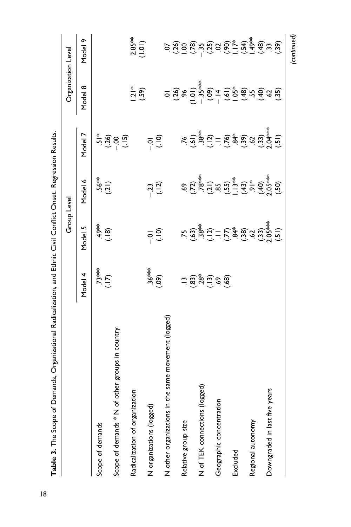| Table 3. The Scope of Demands, Organizational Radicalization, and Ethnic Civil Conflict Onset. Regression Results |                       |                                                                                      |                                                                                                                                                                                                                                                                      |                                                                                                                     |                                                                                                                                                                                                                                                                                                                                                                                                                                                                                            |                                                                                                                                                                                                                                                                                               |
|-------------------------------------------------------------------------------------------------------------------|-----------------------|--------------------------------------------------------------------------------------|----------------------------------------------------------------------------------------------------------------------------------------------------------------------------------------------------------------------------------------------------------------------|---------------------------------------------------------------------------------------------------------------------|--------------------------------------------------------------------------------------------------------------------------------------------------------------------------------------------------------------------------------------------------------------------------------------------------------------------------------------------------------------------------------------------------------------------------------------------------------------------------------------------|-----------------------------------------------------------------------------------------------------------------------------------------------------------------------------------------------------------------------------------------------------------------------------------------------|
|                                                                                                                   |                       | Group Level                                                                          |                                                                                                                                                                                                                                                                      |                                                                                                                     | Organization Level                                                                                                                                                                                                                                                                                                                                                                                                                                                                         |                                                                                                                                                                                                                                                                                               |
|                                                                                                                   | Model 4               | Model 5                                                                              | Model 6                                                                                                                                                                                                                                                              | Model 7                                                                                                             | Model 8                                                                                                                                                                                                                                                                                                                                                                                                                                                                                    | Model 9                                                                                                                                                                                                                                                                                       |
| Scope of demands                                                                                                  |                       |                                                                                      |                                                                                                                                                                                                                                                                      |                                                                                                                     |                                                                                                                                                                                                                                                                                                                                                                                                                                                                                            |                                                                                                                                                                                                                                                                                               |
|                                                                                                                   | $(11)$<br>$(11)$      | (61.)                                                                                | $(15)$<br>(.21)                                                                                                                                                                                                                                                      |                                                                                                                     |                                                                                                                                                                                                                                                                                                                                                                                                                                                                                            |                                                                                                                                                                                                                                                                                               |
| Scope of demands * N of other groups in country                                                                   |                       |                                                                                      |                                                                                                                                                                                                                                                                      | $\frac{4}{15}$ $\frac{3}{15}$ $\frac{6}{15}$ $\frac{1}{15}$                                                         |                                                                                                                                                                                                                                                                                                                                                                                                                                                                                            |                                                                                                                                                                                                                                                                                               |
| Radicalization of organization                                                                                    |                       |                                                                                      |                                                                                                                                                                                                                                                                      |                                                                                                                     |                                                                                                                                                                                                                                                                                                                                                                                                                                                                                            |                                                                                                                                                                                                                                                                                               |
|                                                                                                                   |                       |                                                                                      |                                                                                                                                                                                                                                                                      |                                                                                                                     | (59)                                                                                                                                                                                                                                                                                                                                                                                                                                                                                       | $2.85***$<br>(1.01)                                                                                                                                                                                                                                                                           |
| N organizations (logged)                                                                                          | $(60)$<br>(09)        | $rac{1}{2}$                                                                          | $-23$<br>(.12)                                                                                                                                                                                                                                                       | $\overline{q}$                                                                                                      |                                                                                                                                                                                                                                                                                                                                                                                                                                                                                            |                                                                                                                                                                                                                                                                                               |
|                                                                                                                   |                       |                                                                                      |                                                                                                                                                                                                                                                                      |                                                                                                                     |                                                                                                                                                                                                                                                                                                                                                                                                                                                                                            |                                                                                                                                                                                                                                                                                               |
| N other organizations in the same movement (logged)                                                               |                       |                                                                                      |                                                                                                                                                                                                                                                                      |                                                                                                                     | $\frac{1}{2}\left(\frac{1}{2}\right)^{2}\left(\frac{1}{2}\right)^{2}\left(\frac{1}{2}\right)^{2}\left(\frac{1}{2}\right)^{2}\left(\frac{1}{2}\right)^{2}\left(\frac{1}{2}\right)^{2}\left(\frac{1}{2}\right)^{2}\left(\frac{1}{2}\right)^{2}\left(\frac{1}{2}\right)^{2}\left(\frac{1}{2}\right)^{2}\left(\frac{1}{2}\right)^{2}\left(\frac{1}{2}\right)^{2}\left(\frac{1}{2}\right)^{2}\left(\frac{1}{2}\right)^{2}\left(\frac{1}{2}\right)^{2}\left(\frac{1}{2}\right)^{2}\left(\frac{1$ | $S_{1}^{2}S_{2}^{2}S_{3}^{2}S_{4}^{2}S_{5}^{2}S_{6}^{2}S_{7}^{2}S_{8}^{2}S_{9}^{2}S_{1}^{2}S_{1}^{2}S_{2}^{2}S_{3}^{2}S_{4}^{2}S_{5}^{2}S_{6}^{2}S_{7}^{2}S_{8}^{2}S_{9}^{2}S_{1}^{2}S_{1}^{2}S_{1}^{2}S_{1}^{2}S_{1}^{2}S_{2}^{2}S_{3}^{2}S_{4}^{2}S_{5}^{2}S_{6}^{2}S_{7}^{2}S_{8}^{2}S_{9$ |
| Relative group size                                                                                               |                       |                                                                                      |                                                                                                                                                                                                                                                                      |                                                                                                                     |                                                                                                                                                                                                                                                                                                                                                                                                                                                                                            |                                                                                                                                                                                                                                                                                               |
|                                                                                                                   | $-3.80, -3.80, -3.80$ |                                                                                      | $69$<br>$77$<br>$78$<br>$78$<br>$79$<br>$79$<br>$79$<br>$79$<br>$79$<br>$79$<br>$79$<br>$79$<br>$79$<br>$79$<br>$79$<br>$79$<br>$79$<br>$79$<br>$79$<br>$79$<br>$79$<br>$79$<br>$79$<br>$79$<br>$79$<br>$79$<br>$79$<br>$79$<br>$79$<br>$79$<br>$79$<br>$79$<br>$79$ | $7.6$<br>$-3.8$<br>$-3.2$<br>$-3.2$<br>$-3.2$<br>$-3.2$<br>$-3.2$<br>$-3.2$<br>$-3.2$<br>$-3.2$<br>$-3.2$<br>$-3.2$ |                                                                                                                                                                                                                                                                                                                                                                                                                                                                                            |                                                                                                                                                                                                                                                                                               |
| N of TEK connections (logged)                                                                                     |                       |                                                                                      |                                                                                                                                                                                                                                                                      |                                                                                                                     |                                                                                                                                                                                                                                                                                                                                                                                                                                                                                            |                                                                                                                                                                                                                                                                                               |
|                                                                                                                   |                       |                                                                                      |                                                                                                                                                                                                                                                                      |                                                                                                                     |                                                                                                                                                                                                                                                                                                                                                                                                                                                                                            |                                                                                                                                                                                                                                                                                               |
| Geographic concentration                                                                                          |                       |                                                                                      |                                                                                                                                                                                                                                                                      |                                                                                                                     |                                                                                                                                                                                                                                                                                                                                                                                                                                                                                            |                                                                                                                                                                                                                                                                                               |
|                                                                                                                   |                       |                                                                                      |                                                                                                                                                                                                                                                                      |                                                                                                                     |                                                                                                                                                                                                                                                                                                                                                                                                                                                                                            |                                                                                                                                                                                                                                                                                               |
| Excluded                                                                                                          |                       |                                                                                      |                                                                                                                                                                                                                                                                      |                                                                                                                     |                                                                                                                                                                                                                                                                                                                                                                                                                                                                                            |                                                                                                                                                                                                                                                                                               |
|                                                                                                                   |                       |                                                                                      |                                                                                                                                                                                                                                                                      |                                                                                                                     |                                                                                                                                                                                                                                                                                                                                                                                                                                                                                            |                                                                                                                                                                                                                                                                                               |
| Regional autonomy                                                                                                 |                       |                                                                                      |                                                                                                                                                                                                                                                                      |                                                                                                                     |                                                                                                                                                                                                                                                                                                                                                                                                                                                                                            |                                                                                                                                                                                                                                                                                               |
|                                                                                                                   |                       |                                                                                      |                                                                                                                                                                                                                                                                      |                                                                                                                     |                                                                                                                                                                                                                                                                                                                                                                                                                                                                                            |                                                                                                                                                                                                                                                                                               |
| Downgraded in last five years                                                                                     |                       |                                                                                      |                                                                                                                                                                                                                                                                      |                                                                                                                     |                                                                                                                                                                                                                                                                                                                                                                                                                                                                                            |                                                                                                                                                                                                                                                                                               |
|                                                                                                                   |                       | $15.38$<br>$15.38$<br>$15.38$<br>$15.58$<br>$15.30$<br>$15.50$<br>$15.50$<br>$15.50$ |                                                                                                                                                                                                                                                                      |                                                                                                                     |                                                                                                                                                                                                                                                                                                                                                                                                                                                                                            |                                                                                                                                                                                                                                                                                               |
|                                                                                                                   |                       |                                                                                      |                                                                                                                                                                                                                                                                      |                                                                                                                     |                                                                                                                                                                                                                                                                                                                                                                                                                                                                                            | (continued)                                                                                                                                                                                                                                                                                   |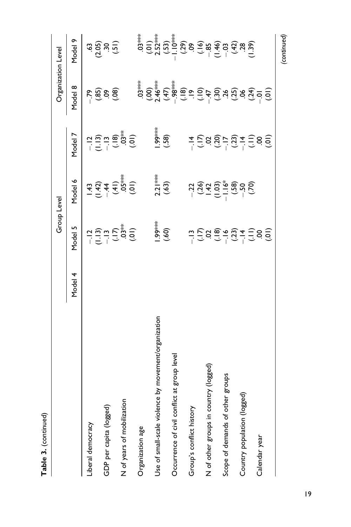|                                                         |         | Group Level                                                                                                                                                                   |                                                                                                                                                                                                                                                                                                                                                  |                                                                                                                                                                                                                                                                                                                                                      | Organization Level |         |
|---------------------------------------------------------|---------|-------------------------------------------------------------------------------------------------------------------------------------------------------------------------------|--------------------------------------------------------------------------------------------------------------------------------------------------------------------------------------------------------------------------------------------------------------------------------------------------------------------------------------------------|------------------------------------------------------------------------------------------------------------------------------------------------------------------------------------------------------------------------------------------------------------------------------------------------------------------------------------------------------|--------------------|---------|
|                                                         | Model 4 | Model 5                                                                                                                                                                       | Yodel 6                                                                                                                                                                                                                                                                                                                                          | Model 7                                                                                                                                                                                                                                                                                                                                              | Model 8            | Model 9 |
| Liberal democracy                                       |         |                                                                                                                                                                               |                                                                                                                                                                                                                                                                                                                                                  |                                                                                                                                                                                                                                                                                                                                                      |                    |         |
| GDP per capita (logged)                                 |         |                                                                                                                                                                               |                                                                                                                                                                                                                                                                                                                                                  |                                                                                                                                                                                                                                                                                                                                                      | <u>58966</u>       |         |
| N of years of mobilization                              |         | $-12$<br>$-13$<br>$-15$<br>$-15$<br>$-15$<br>$-15$<br>$-15$<br>$-15$<br>$-15$                                                                                                 | $\frac{4}{3}$ + $\frac{4}{3}$ + $\frac{4}{3}$ + $\frac{4}{3}$ + $\frac{4}{3}$ + $\frac{4}{3}$ + $\frac{4}{3}$ + $\frac{4}{3}$ + $\frac{4}{3}$ + $\frac{4}{3}$ + $\frac{4}{3}$ + $\frac{4}{3}$ + $\frac{4}{3}$ + $\frac{4}{3}$ + $\frac{4}{3}$ + $\frac{4}{3}$ + $\frac{4}{3}$ + $\frac{4}{3}$ + $\frac{4$                                        | $\frac{1}{1}$<br>$\frac{1}{1}$<br>$\frac{1}{1}$<br>$\frac{1}{1}$<br>$\frac{1}{1}$<br>$\frac{1}{1}$<br>$\frac{1}{1}$<br>$\frac{1}{1}$<br>$\frac{1}{1}$<br>$\frac{1}{1}$<br>$\frac{1}{1}$<br>$\frac{1}{1}$<br>$\frac{1}{1}$<br>$\frac{1}{1}$<br>$\frac{1}{1}$<br>$\frac{1}{1}$<br>$\frac{1}{1}$<br>$\frac{1}{1}$<br>$\frac{1}{1}$<br>$\frac{1}{1}$<br> |                    |         |
|                                                         |         |                                                                                                                                                                               |                                                                                                                                                                                                                                                                                                                                                  |                                                                                                                                                                                                                                                                                                                                                      |                    |         |
| Organization age                                        |         |                                                                                                                                                                               |                                                                                                                                                                                                                                                                                                                                                  |                                                                                                                                                                                                                                                                                                                                                      |                    |         |
| by movement/organization<br>Use of small-scale violence |         |                                                                                                                                                                               |                                                                                                                                                                                                                                                                                                                                                  |                                                                                                                                                                                                                                                                                                                                                      |                    |         |
|                                                         |         | (.60)<br>(09`)                                                                                                                                                                | $2.21***$<br>(.63)                                                                                                                                                                                                                                                                                                                               | 1.99***<br>(.58)                                                                                                                                                                                                                                                                                                                                     |                    |         |
| Occurrence of civil conflict at group level             |         |                                                                                                                                                                               |                                                                                                                                                                                                                                                                                                                                                  |                                                                                                                                                                                                                                                                                                                                                      |                    |         |
|                                                         |         |                                                                                                                                                                               |                                                                                                                                                                                                                                                                                                                                                  |                                                                                                                                                                                                                                                                                                                                                      |                    |         |
| Group's conflict history                                |         |                                                                                                                                                                               |                                                                                                                                                                                                                                                                                                                                                  |                                                                                                                                                                                                                                                                                                                                                      |                    |         |
|                                                         |         |                                                                                                                                                                               |                                                                                                                                                                                                                                                                                                                                                  |                                                                                                                                                                                                                                                                                                                                                      |                    |         |
| N of other groups in country (logged)                   |         |                                                                                                                                                                               |                                                                                                                                                                                                                                                                                                                                                  |                                                                                                                                                                                                                                                                                                                                                      |                    |         |
|                                                         |         | $\frac{1}{1}$ , $\frac{1}{2}$ , $\frac{1}{2}$ , $\frac{1}{2}$ , $\frac{1}{2}$ , $\frac{1}{2}$ , $\frac{1}{2}$ , $\frac{1}{2}$ , $\frac{1}{2}$ , $\frac{1}{2}$ , $\frac{1}{2}$ | $\begin{array}{r} 1200 \\ -2000 \\ -1000 \\ -1000 \\ -1000 \\ -1000 \\ -1000 \\ -1000 \\ -1000 \\ -1000 \\ -1000 \\ -1000 \\ -1000 \\ -1000 \\ -1000 \\ -1000 \\ -1000 \\ -1000 \\ -1000 \\ -1000 \\ -1000 \\ -1000 \\ -1000 \\ -1000 \\ -1000 \\ -1000 \\ -1000 \\ -1000 \\ -1000 \\ -1000 \\ -1000 \\ -1000 \\ -1000 \\ -1000 \\ -1000 \\ -10$ | $\frac{4}{1}$ $\frac{1}{1}$ $\frac{1}{2}$ $\frac{3}{2}$ $\frac{5}{1}$ $\frac{3}{2}$ $\frac{4}{1}$ $\frac{1}{2}$ $\frac{3}{2}$ $\frac{6}{1}$ $\frac{1}{2}$                                                                                                                                                                                            |                    |         |
| groups<br>Scope of demands of other                     |         |                                                                                                                                                                               |                                                                                                                                                                                                                                                                                                                                                  |                                                                                                                                                                                                                                                                                                                                                      |                    |         |
|                                                         |         |                                                                                                                                                                               |                                                                                                                                                                                                                                                                                                                                                  |                                                                                                                                                                                                                                                                                                                                                      |                    |         |
| Country population (logged)                             |         |                                                                                                                                                                               |                                                                                                                                                                                                                                                                                                                                                  |                                                                                                                                                                                                                                                                                                                                                      |                    |         |
|                                                         |         |                                                                                                                                                                               |                                                                                                                                                                                                                                                                                                                                                  |                                                                                                                                                                                                                                                                                                                                                      |                    |         |
| Calendar year                                           |         |                                                                                                                                                                               |                                                                                                                                                                                                                                                                                                                                                  |                                                                                                                                                                                                                                                                                                                                                      |                    |         |
|                                                         |         |                                                                                                                                                                               |                                                                                                                                                                                                                                                                                                                                                  |                                                                                                                                                                                                                                                                                                                                                      |                    |         |

**Table 3.** (continued)

Table 3. (continued)

*(continued)*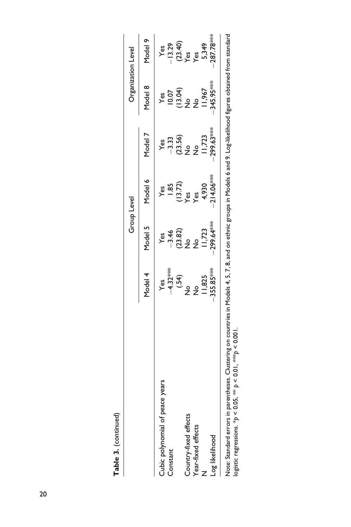| ۱ |
|---|
|   |
|   |
|   |
|   |

|                                                                                                                                                                           |               | <b>Group Level</b> |                  |                 | Organization Level                                                            |                  |
|---------------------------------------------------------------------------------------------------------------------------------------------------------------------------|---------------|--------------------|------------------|-----------------|-------------------------------------------------------------------------------|------------------|
|                                                                                                                                                                           | Model 4       | Model 5            | Model 6          | Model 7         | Model 8                                                                       | Model 9          |
| years<br>Cubic polynomial of peace                                                                                                                                        | Yes           | yes                | yes              | Yes             | yes                                                                           | Yes              |
| Constant                                                                                                                                                                  | $-4.32***$    | $-3.46$            | $\frac{85}{2}$   | $-3.33$         | 10.07                                                                         | $-13.29$         |
|                                                                                                                                                                           | $(*54)$       |                    |                  |                 |                                                                               |                  |
| Country-fixed effects                                                                                                                                                     | ,<br>2        | $(23.82)$<br>No    | $(13.72)$<br>Yes | $(23.56)$<br>No | $\begin{array}{c}\n\text{3.5}\n\text{?} \\ \text{?} \\ \text{?}\n\end{array}$ | $(23.40)$<br>Yes |
| Year-fixed effects                                                                                                                                                        | $\frac{1}{2}$ | $\frac{6}{5}$      | yes<br>Yes       | $\frac{9}{2}$   | $\frac{6}{5}$                                                                 | Yes              |
|                                                                                                                                                                           | 11,825        | 11,723             | 4,930            | 11,723          | 11,967                                                                        | 5,349            |
| Log likelihood                                                                                                                                                            | $-355.85***$  | $299.64***$        | $214.06***$      | 299.63****      | 345.95 ***                                                                    | 287.78***        |
| Note: Standard errors in parentheses. Clustering on countries in Models 4, 5, 7, 8, and on ethnic groups in Models 6 and 9. Log-likelihood figures obtained from standard |               |                    |                  |                 |                                                                               |                  |

Note: Standard errors in parentheses. Clustering on countries in Models 4, 5, 7, 8, and on ethnic groups in Models 6 and 9. Log-likelihood figures obtained from standard  $\frac{1}{2}$  . The contract of the sections. \*  $\beta$  < 0.05, \*\*  $\beta$  < 0.01, \*\*  $\beta$  < 0.01. logistic regressions. \**p* < 0.05, \*\* *p* < 0.01, \*\*\**p* < 0.001.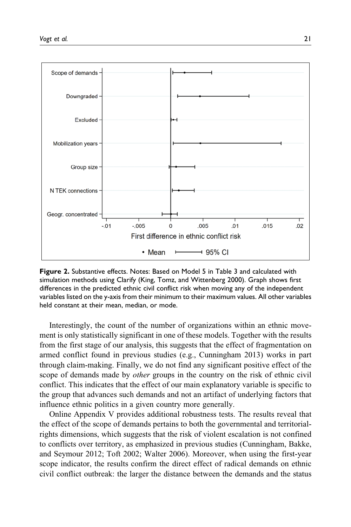

**Figure 2.** Substantive effects. Notes: Based on Model 5 in Table 3 and calculated with simulation methods using Clarify (King, Tomz, and Wittenberg 2000). Graph shows first differences in the predicted ethnic civil conflict risk when moving any of the independent variables listed on the y-axis from their minimum to their maximum values. All other variables held constant at their mean, median, or mode.

Interestingly, the count of the number of organizations within an ethnic movement is only statistically significant in one of these models. Together with the results from the first stage of our analysis, this suggests that the effect of fragmentation on armed conflict found in previous studies (e.g., Cunningham 2013) works in part through claim-making. Finally, we do not find any significant positive effect of the scope of demands made by *other* groups in the country on the risk of ethnic civil conflict. This indicates that the effect of our main explanatory variable is specific to the group that advances such demands and not an artifact of underlying factors that influence ethnic politics in a given country more generally.

Online Appendix V provides additional robustness tests. The results reveal that the effect of the scope of demands pertains to both the governmental and territorialrights dimensions, which suggests that the risk of violent escalation is not confined to conflicts over territory, as emphasized in previous studies (Cunningham, Bakke, and Seymour 2012; Toft 2002; Walter 2006). Moreover, when using the first-year scope indicator, the results confirm the direct effect of radical demands on ethnic civil conflict outbreak: the larger the distance between the demands and the status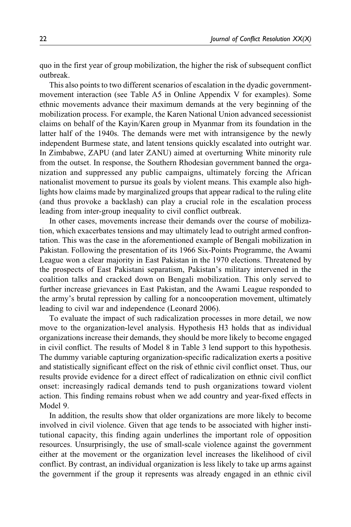quo in the first year of group mobilization, the higher the risk of subsequent conflict outbreak.

This also points to two different scenarios of escalation in the dyadic governmentmovement interaction (see Table A5 in Online Appendix V for examples). Some ethnic movements advance their maximum demands at the very beginning of the mobilization process. For example, the Karen National Union advanced secessionist claims on behalf of the Kayin/Karen group in Myanmar from its foundation in the latter half of the 1940s. The demands were met with intransigence by the newly independent Burmese state, and latent tensions quickly escalated into outright war. In Zimbabwe, ZAPU (and later ZANU) aimed at overturning White minority rule from the outset. In response, the Southern Rhodesian government banned the organization and suppressed any public campaigns, ultimately forcing the African nationalist movement to pursue its goals by violent means. This example also highlights how claims made by marginalized groups that appear radical to the ruling elite (and thus provoke a backlash) can play a crucial role in the escalation process leading from inter-group inequality to civil conflict outbreak.

In other cases, movements increase their demands over the course of mobilization, which exacerbates tensions and may ultimately lead to outright armed confrontation. This was the case in the aforementioned example of Bengali mobilization in Pakistan. Following the presentation of its 1966 Six-Points Programme, the Awami League won a clear majority in East Pakistan in the 1970 elections. Threatened by the prospects of East Pakistani separatism, Pakistan's military intervened in the coalition talks and cracked down on Bengali mobilization. This only served to further increase grievances in East Pakistan, and the Awami League responded to the army's brutal repression by calling for a noncooperation movement, ultimately leading to civil war and independence (Leonard 2006).

To evaluate the impact of such radicalization processes in more detail, we now move to the organization-level analysis. Hypothesis H3 holds that as individual organizations increase their demands, they should be more likely to become engaged in civil conflict. The results of Model 8 in Table 3 lend support to this hypothesis. The dummy variable capturing organization-specific radicalization exerts a positive and statistically significant effect on the risk of ethnic civil conflict onset. Thus, our results provide evidence for a direct effect of radicalization on ethnic civil conflict onset: increasingly radical demands tend to push organizations toward violent action. This finding remains robust when we add country and year-fixed effects in Model 9.

In addition, the results show that older organizations are more likely to become involved in civil violence. Given that age tends to be associated with higher institutional capacity, this finding again underlines the important role of opposition resources. Unsurprisingly, the use of small-scale violence against the government either at the movement or the organization level increases the likelihood of civil conflict. By contrast, an individual organization is less likely to take up arms against the government if the group it represents was already engaged in an ethnic civil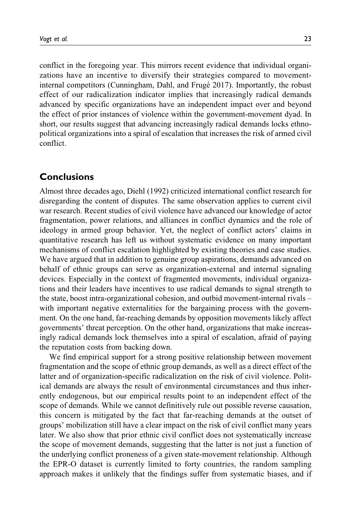conflict in the foregoing year. This mirrors recent evidence that individual organizations have an incentive to diversify their strategies compared to movementinternal competitors (Cunningham, Dahl, and Frugé 2017). Importantly, the robust effect of our radicalization indicator implies that increasingly radical demands advanced by specific organizations have an independent impact over and beyond the effect of prior instances of violence within the government-movement dyad. In short, our results suggest that advancing increasingly radical demands locks ethnopolitical organizations into a spiral of escalation that increases the risk of armed civil conflict.

## **Conclusions**

Almost three decades ago, Diehl (1992) criticized international conflict research for disregarding the content of disputes. The same observation applies to current civil war research. Recent studies of civil violence have advanced our knowledge of actor fragmentation, power relations, and alliances in conflict dynamics and the role of ideology in armed group behavior. Yet, the neglect of conflict actors' claims in quantitative research has left us without systematic evidence on many important mechanisms of conflict escalation highlighted by existing theories and case studies. We have argued that in addition to genuine group aspirations, demands advanced on behalf of ethnic groups can serve as organization-external and internal signaling devices. Especially in the context of fragmented movements, individual organizations and their leaders have incentives to use radical demands to signal strength to the state, boost intra-organizational cohesion, and outbid movement-internal rivals – with important negative externalities for the bargaining process with the government. On the one hand, far-reaching demands by opposition movements likely affect governments' threat perception. On the other hand, organizations that make increasingly radical demands lock themselves into a spiral of escalation, afraid of paying the reputation costs from backing down.

We find empirical support for a strong positive relationship between movement fragmentation and the scope of ethnic group demands, as well as a direct effect of the latter and of organization-specific radicalization on the risk of civil violence. Political demands are always the result of environmental circumstances and thus inherently endogenous, but our empirical results point to an independent effect of the scope of demands. While we cannot definitively rule out possible reverse causation, this concern is mitigated by the fact that far-reaching demands at the outset of groups' mobilization still have a clear impact on the risk of civil conflict many years later. We also show that prior ethnic civil conflict does not systematically increase the scope of movement demands, suggesting that the latter is not just a function of the underlying conflict proneness of a given state-movement relationship. Although the EPR-O dataset is currently limited to forty countries, the random sampling approach makes it unlikely that the findings suffer from systematic biases, and if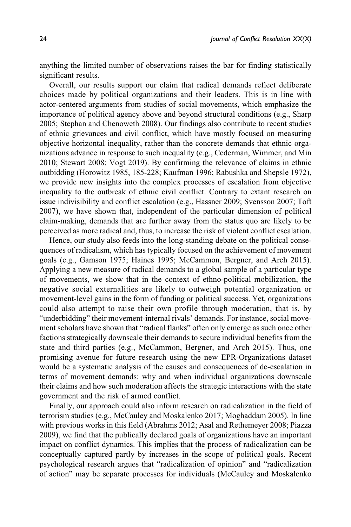anything the limited number of observations raises the bar for finding statistically significant results.

Overall, our results support our claim that radical demands reflect deliberate choices made by political organizations and their leaders. This is in line with actor-centered arguments from studies of social movements, which emphasize the importance of political agency above and beyond structural conditions (e.g., Sharp 2005; Stephan and Chenoweth 2008). Our findings also contribute to recent studies of ethnic grievances and civil conflict, which have mostly focused on measuring objective horizontal inequality, rather than the concrete demands that ethnic organizations advance in response to such inequality (e.g., Cederman, Wimmer, and Min 2010; Stewart 2008; Vogt 2019). By confirming the relevance of claims in ethnic outbidding (Horowitz 1985, 185-228; Kaufman 1996; Rabushka and Shepsle 1972), we provide new insights into the complex processes of escalation from objective inequality to the outbreak of ethnic civil conflict. Contrary to extant research on issue indivisibility and conflict escalation (e.g., Hassner 2009; Svensson 2007; Toft 2007), we have shown that, independent of the particular dimension of political claim-making, demands that are further away from the status quo are likely to be perceived as more radical and, thus, to increase the risk of violent conflict escalation.

Hence, our study also feeds into the long-standing debate on the political consequences of radicalism, which has typically focused on the achievement of movement goals (e.g., Gamson 1975; Haines 1995; McCammon, Bergner, and Arch 2015). Applying a new measure of radical demands to a global sample of a particular type of movements, we show that in the context of ethno-political mobilization, the negative social externalities are likely to outweigh potential organization or movement-level gains in the form of funding or political success. Yet, organizations could also attempt to raise their own profile through moderation, that is, by "underbidding" their movement-internal rivals' demands. For instance, social movement scholars have shown that "radical flanks" often only emerge as such once other factions strategically downscale their demands to secure individual benefits from the state and third parties (e.g., McCammon, Bergner, and Arch 2015). Thus, one promising avenue for future research using the new EPR-Organizations dataset would be a systematic analysis of the causes and consequences of de-escalation in terms of movement demands: why and when individual organizations downscale their claims and how such moderation affects the strategic interactions with the state government and the risk of armed conflict.

Finally, our approach could also inform research on radicalization in the field of terrorism studies (e.g., McCauley and Moskalenko 2017; Moghaddam 2005). In line with previous works in this field (Abrahms 2012; Asal and Rethemeyer 2008; Piazza 2009), we find that the publically declared goals of organizations have an important impact on conflict dynamics. This implies that the process of radicalization can be conceptually captured partly by increases in the scope of political goals. Recent psychological research argues that "radicalization of opinion" and "radicalization of action" may be separate processes for individuals (McCauley and Moskalenko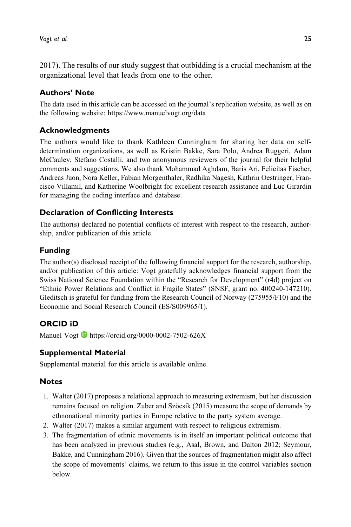2017). The results of our study suggest that outbidding is a crucial mechanism at the organizational level that leads from one to the other.

### **Authors' Note**

The data used in this article can be accessed on the journal's replication website, as well as on the following website:<https://www.manuelvogt.org/data>

### **Acknowledgments**

The authors would like to thank Kathleen Cunningham for sharing her data on selfdetermination organizations, as well as Kristin Bakke, Sara Polo, Andrea Ruggeri, Adam McCauley, Stefano Costalli, and two anonymous reviewers of the journal for their helpful comments and suggestions. We also thank Mohammad Aghdam, Baris Ari, Felicitas Fischer, Andreas Juon, Nora Keller, Fabian Morgenthaler, Radhika Nagesh, Kathrin Oestringer, Francisco Villamil, and Katherine Woolbright for excellent research assistance and Luc Girardin for managing the coding interface and database.

## **Declaration of Conflicting Interests**

The author(s) declared no potential conflicts of interest with respect to the research, authorship, and/or publication of this article.

#### **Funding**

The author(s) disclosed receipt of the following financial support for the research, authorship, and/or publication of this article: Vogt gratefully acknowledges financial support from the Swiss National Science Foundation within the "Research for Development" (r4d) project on "Ethnic Power Relations and Conflict in Fragile States" (SNSF, grant no. 400240-147210). Gleditsch is grateful for funding from the Research Council of Norway (275955/F10) and the Economic and Social Research Council (ES/S009965/1).

## **ORCID iD**

Manuel Vogt  $\blacksquare$  <https://orcid.org/0000-0002-7502-626X>

### **Supplemental Material**

Supplemental material for this article is available online.

#### **Notes**

- 1. Walter (2017) proposes a relational approach to measuring extremism, but her discussion remains focused on religion. Zuber and Szöcsik (2015) measure the scope of demands by ethnonational minority parties in Europe relative to the party system average.
- 2. Walter (2017) makes a similar argument with respect to religious extremism.
- 3. The fragmentation of ethnic movements is in itself an important political outcome that has been analyzed in previous studies (e.g., Asal, Brown, and Dalton 2012; Seymour, Bakke, and Cunningham 2016). Given that the sources of fragmentation might also affect the scope of movements' claims, we return to this issue in the control variables section below.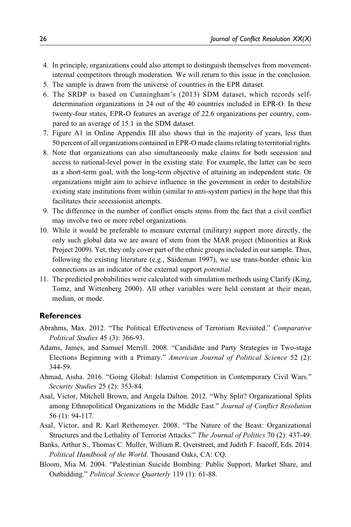- 4. In principle, organizations could also attempt to distinguish themselves from movementinternal competitors through moderation. We will return to this issue in the conclusion.
- 5. The sample is drawn from the universe of countries in the EPR dataset.
- 6. The SRDP is based on Cunningham's (2013) SDM dataset, which records selfdetermination organizations in 24 out of the 40 countries included in EPR-O. In these twenty-four states, EPR-O features an average of 22.6 organizations per country, compared to an average of 15.1 in the SDM dataset.
- 7. Figure A1 in Online Appendix III also shows that in the majority of years, less than 50 percent of all organizations contained in EPR-O made claims relating to territorial rights.
- 8. Note that organizations can also simultaneously make claims for both secession and access to national-level power in the existing state. For example, the latter can be seen as a short-term goal, with the long-term objective of attaining an independent state. Or organizations might aim to achieve influence in the government in order to destabilize existing state institutions from within (similar to anti-system parties) in the hope that this facilitates their secessionist attempts.
- 9. The difference in the number of conflict onsets stems from the fact that a civil conflict may involve two or more rebel organizations.
- 10. While it would be preferable to measure external (military) support more directly, the only such global data we are aware of stem from the MAR project (Minorities at Risk Project 2009). Yet, they only cover part of the ethnic groups included in our sample. Thus, following the existing literature (e.g., Saideman 1997), we use trans-border ethnic kin connections as an indicator of the external support potential.
- 11. The predicted probabilities were calculated with simulation methods using Clarify (King, Tomz, and Wittenberg 2000). All other variables were held constant at their mean, median, or mode.

#### **References**

- Abrahms, Max. 2012. "The Political Effectiveness of Terrorism Revisited." Comparative Political Studies 45 (3): 366-93.
- Adams, James, and Samuel Merrill. 2008. "Candidate and Party Strategies in Two-stage Elections Beginning with a Primary." American Journal of Political Science 52 (2): 344-59.
- Ahmad, Aisha. 2016. "Going Global: Islamist Competition in Contemporary Civil Wars." Security Studies 25 (2): 353-84.
- Asal, Victor, Mitchell Brown, and Angela Dalton. 2012. "Why Split? Organizational Splits among Ethnopolitical Organizations in the Middle East." Journal of Conflict Resolution 56 (1): 94-117.
- Asal, Victor, and R. Karl Rethemeyer. 2008. "The Nature of the Beast: Organizational Structures and the Lethality of Terrorist Attacks." The Journal of Politics 70 (2): 437-49.
- Banks, Arthur S., Thomas C. Muller, William R. Overstreet, and Judith F. Isacoff, Eds. 2014. Political Handbook of the World. Thousand Oaks, CA: CQ.
- Bloom, Mia M. 2004. "Palestinian Suicide Bombing: Public Support, Market Share, and Outbidding." Political Science Quarterly 119 (1): 61-88.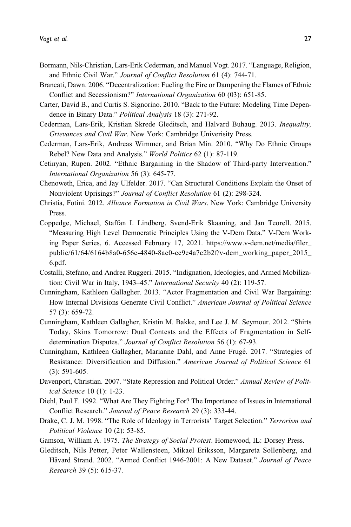- Bormann, Nils-Christian, Lars-Erik Cederman, and Manuel Vogt. 2017. "Language, Religion, and Ethnic Civil War." Journal of Conflict Resolution 61 (4): 744-71.
- Brancati, Dawn. 2006. "Decentralization: Fueling the Fire or Dampening the Flames of Ethnic Conflict and Secessionism?" International Organization 60 (03): 651-85.
- Carter, David B., and Curtis S. Signorino. 2010. "Back to the Future: Modeling Time Dependence in Binary Data." Political Analysis 18 (3): 271-92.
- Cederman, Lars-Erik, Kristian Skrede Gleditsch, and Halvard Buhaug. 2013. Inequality, Grievances and Civil War. New York: Cambridge Univerisity Press.
- Cederman, Lars-Erik, Andreas Wimmer, and Brian Min. 2010. "Why Do Ethnic Groups Rebel? New Data and Analysis." World Politics 62 (1): 87-119.
- Cetinyan, Rupen. 2002. "Ethnic Bargaining in the Shadow of Third-party Intervention." International Organization 56 (3): 645-77.
- Chenoweth, Erica, and Jay Ulfelder. 2017. "Can Structural Conditions Explain the Onset of Nonviolent Uprisings?" Journal of Conflict Resolution 61 (2): 298-324.
- Christia, Fotini. 2012. Alliance Formation in Civil Wars. New York: Cambridge University Press.
- Coppedge, Michael, Staffan I. Lindberg, Svend-Erik Skaaning, and Jan Teorell. 2015. "Measuring High Level Democratic Principles Using the V-Dem Data." V-Dem Working Paper Series, 6. Accessed February 17, 2021. [https://www.v-dem.net/media/filer\\_](https://www.v-dem.net/media/filer_public/61/64/6164b8a0-656c-4840-8ac0-ce9e4a7c2b2f/v-dem_working_paper_2015_6.pdf) [public/61/64/6164b8a0-656c-4840-8ac0-ce9e4a7c2b2f/v-dem\\_working\\_paper\\_2015\\_](https://www.v-dem.net/media/filer_public/61/64/6164b8a0-656c-4840-8ac0-ce9e4a7c2b2f/v-dem_working_paper_2015_6.pdf) [6.pdf](https://www.v-dem.net/media/filer_public/61/64/6164b8a0-656c-4840-8ac0-ce9e4a7c2b2f/v-dem_working_paper_2015_6.pdf).
- Costalli, Stefano, and Andrea Ruggeri. 2015. "Indignation, Ideologies, and Armed Mobilization: Civil War in Italy, 1943–45." International Security 40 (2): 119-57.
- Cunningham, Kathleen Gallagher. 2013. "Actor Fragmentation and Civil War Bargaining: How Internal Divisions Generate Civil Conflict." American Journal of Political Science 57 (3): 659-72.
- Cunningham, Kathleen Gallagher, Kristin M. Bakke, and Lee J. M. Seymour. 2012. "Shirts Today, Skins Tomorrow: Dual Contests and the Effects of Fragmentation in Selfdetermination Disputes." Journal of Conflict Resolution 56 (1): 67-93.
- Cunningham, Kathleen Gallagher, Marianne Dahl, and Anne Frugé. 2017. "Strategies of Resistance: Diversification and Diffusion." American Journal of Political Science 61 (3): 591-605.
- Davenport, Christian. 2007. "State Repression and Political Order." Annual Review of Political Science 10 (1): 1-23.
- Diehl, Paul F. 1992. "What Are They Fighting For? The Importance of Issues in International Conflict Research." Journal of Peace Research 29 (3): 333-44.
- Drake, C. J. M. 1998. "The Role of Ideology in Terrorists' Target Selection." Terrorism and Political Violence 10 (2): 53-85.
- Gamson, William A. 1975. The Strategy of Social Protest. Homewood, IL: Dorsey Press.
- Gleditsch, Nils Petter, Peter Wallensteen, Mikael Eriksson, Margareta Sollenberg, and Håvard Strand. 2002. "Armed Conflict 1946-2001: A New Dataset." Journal of Peace Research 39 (5): 615-37.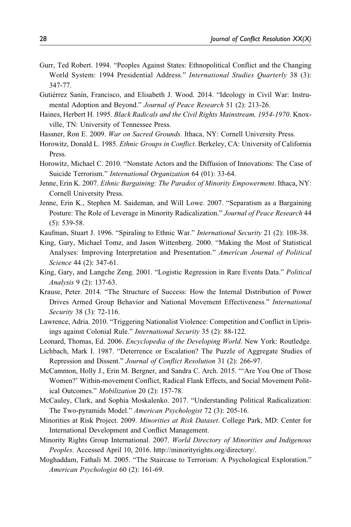- Gurr, Ted Robert. 1994. "Peoples Against States: Ethnopolitical Conflict and the Changing World System: 1994 Presidential Address." International Studies Quarterly 38 (3): 347-77.
- Gutiérrez Sanín, Francisco, and Elisabeth J. Wood. 2014. "Ideology in Civil War: Instrumental Adoption and Beyond." Journal of Peace Research 51 (2): 213-26.
- Haines, Herbert H. 1995. Black Radicals and the Civil Rights Mainstream, 1954-1970. Knoxville, TN: University of Tennessee Press.
- Hassner, Ron E. 2009. War on Sacred Grounds. Ithaca, NY: Cornell University Press.
- Horowitz, Donald L. 1985. Ethnic Groups in Conflict. Berkeley, CA: University of California Press.
- Horowitz, Michael C. 2010. "Nonstate Actors and the Diffusion of Innovations: The Case of Suicide Terrorism." International Organization 64 (01): 33-64.
- Jenne, Erin K. 2007. Ethnic Bargaining: The Paradox of Minority Empowerment. Ithaca, NY: Cornell University Press.
- Jenne, Erin K., Stephen M. Saideman, and Will Lowe. 2007. "Separatism as a Bargaining Posture: The Role of Leverage in Minority Radicalization." Journal of Peace Research 44 (5): 539-58.
- Kaufman, Stuart J. 1996. "Spiraling to Ethnic War." International Security 21 (2): 108-38.
- King, Gary, Michael Tomz, and Jason Wittenberg. 2000. "Making the Most of Statistical Analyses: Improving Interpretation and Presentation." American Journal of Political Science 44 (2): 347-61.
- King, Gary, and Langche Zeng. 2001. "Logistic Regression in Rare Events Data." Political Analysis 9 (2): 137-63.
- Krause, Peter. 2014. "The Structure of Success: How the Internal Distribution of Power Drives Armed Group Behavior and National Movement Effectiveness." International Security 38 (3): 72-116.
- Lawrence, Adria. 2010. "Triggering Nationalist Violence: Competition and Conflict in Uprisings against Colonial Rule." International Security 35 (2): 88-122.
- Leonard, Thomas, Ed. 2006. Encyclopedia of the Developing World. New York: Routledge.
- Lichbach, Mark I. 1987. "Deterrence or Escalation? The Puzzle of Aggregate Studies of Repression and Dissent." Journal of Conflict Resolution 31 (2): 266-97.
- McCammon, Holly J., Erin M. Bergner, and Sandra C. Arch. 2015. "'Are You One of Those Women?' Within-movement Conflict, Radical Flank Effects, and Social Movement Political Outcomes." Mobilization 20 (2): 157-78.
- McCauley, Clark, and Sophia Moskalenko. 2017. "Understanding Political Radicalization: The Two-pyramids Model." American Psychologist 72 (3): 205-16.
- Minorities at Risk Project. 2009. Minorities at Risk Dataset. College Park, MD: Center for International Development and Conflict Management.
- Minority Rights Group International. 2007. World Directory of Minorities and Indigenous Peoples. Accessed April 10, 2016.<http://minorityrights.org/directory/.>
- Moghaddam, Fathali M. 2005. "The Staircase to Terrorism: A Psychological Exploration." American Psychologist 60 (2): 161-69.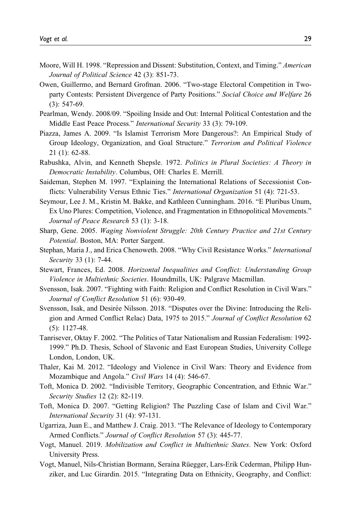- Moore, Will H. 1998. "Repression and Dissent: Substitution, Context, and Timing." American Journal of Political Science 42 (3): 851-73.
- Owen, Guillermo, and Bernard Grofman. 2006. "Two-stage Electoral Competition in Twoparty Contests: Persistent Divergence of Party Positions." Social Choice and Welfare 26 (3): 547-69.
- Pearlman, Wendy. 2008/09. "Spoiling Inside and Out: Internal Political Contestation and the Middle East Peace Process." International Security 33 (3): 79-109.
- Piazza, James A. 2009. "Is Islamist Terrorism More Dangerous?: An Empirical Study of Group Ideology, Organization, and Goal Structure." Terrorism and Political Violence 21 (1): 62-88.
- Rabushka, Alvin, and Kenneth Shepsle. 1972. Politics in Plural Societies: A Theory in Democratic Instability. Columbus, OH: Charles E. Merrill.
- Saideman, Stephen M. 1997. "Explaining the International Relations of Secessionist Conflicts: Vulnerability Versus Ethnic Ties." International Organization 51 (4): 721-53.
- Seymour, Lee J. M., Kristin M. Bakke, and Kathleen Cunningham. 2016. "E Pluribus Unum, Ex Uno Plures: Competition, Violence, and Fragmentation in Ethnopolitical Movements." Journal of Peace Research 53 (1): 3-18.
- Sharp, Gene. 2005. Waging Nonviolent Struggle: 20th Century Practice and 21st Century Potential. Boston, MA: Porter Sargent.
- Stephan, Maria J., and Erica Chenoweth. 2008. "Why Civil Resistance Works." International Security 33 (1): 7-44.
- Stewart, Frances, Ed. 2008. Horizontal Inequalities and Conflict: Understanding Group Violence in Multiethnic Societies. Houndmills, UK: Palgrave Macmillan.
- Svensson, Isak. 2007. "Fighting with Faith: Religion and Conflict Resolution in Civil Wars." Journal of Conflict Resolution 51 (6): 930-49.
- Svensson, Isak, and Desirée Nilsson. 2018. "Disputes over the Divine: Introducing the Religion and Armed Conflict Relac) Data, 1975 to 2015." Journal of Conflict Resolution 62 (5): 1127-48.
- Tanrisever, Oktay F. 2002. "The Politics of Tatar Nationalism and Russian Federalism: 1992- 1999." Ph.D. Thesis, School of Slavonic and East European Studies, University College London, London, UK.
- Thaler, Kai M. 2012. "Ideology and Violence in Civil Wars: Theory and Evidence from Mozambique and Angola." Civil Wars 14 (4): 546-67.
- Toft, Monica D. 2002. "Indivisible Territory, Geographic Concentration, and Ethnic War." Security Studies 12 (2): 82-119.
- Toft, Monica D. 2007. "Getting Religion? The Puzzling Case of Islam and Civil War." International Security 31 (4): 97-131.
- Ugarriza, Juan E., and Matthew J. Craig. 2013. "The Relevance of Ideology to Contemporary Armed Conflicts." Journal of Conflict Resolution 57 (3): 445-77.
- Vogt, Manuel. 2019. Mobilization and Conflict in Multiethnic States. New York: Oxford University Press.
- Vogt, Manuel, Nils-Christian Bormann, Seraina Rüegger, Lars-Erik Cederman, Philipp Hunziker, and Luc Girardin. 2015. "Integrating Data on Ethnicity, Geography, and Conflict: